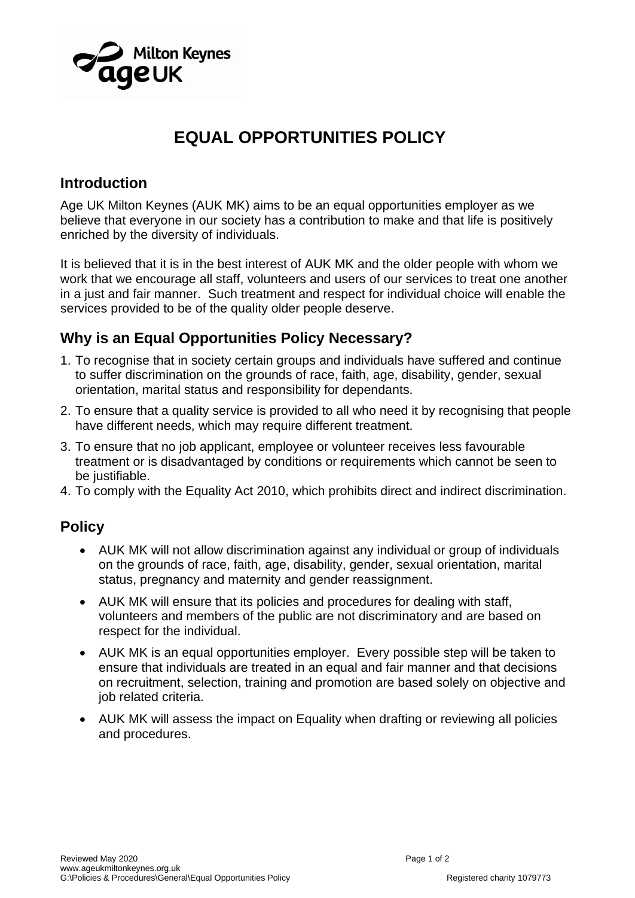

# **EQUAL OPPORTUNITIES POLICY**

# **Introduction**

Age UK Milton Keynes (AUK MK) aims to be an equal opportunities employer as we believe that everyone in our society has a contribution to make and that life is positively enriched by the diversity of individuals.

It is believed that it is in the best interest of AUK MK and the older people with whom we work that we encourage all staff, volunteers and users of our services to treat one another in a just and fair manner. Such treatment and respect for individual choice will enable the services provided to be of the quality older people deserve.

## **Why is an Equal Opportunities Policy Necessary?**

- 1. To recognise that in society certain groups and individuals have suffered and continue to suffer discrimination on the grounds of race, faith, age, disability, gender, sexual orientation, marital status and responsibility for dependants.
- 2. To ensure that a quality service is provided to all who need it by recognising that people have different needs, which may require different treatment.
- 3. To ensure that no job applicant, employee or volunteer receives less favourable treatment or is disadvantaged by conditions or requirements which cannot be seen to be justifiable.
- 4. To comply with the Equality Act 2010, which prohibits direct and indirect discrimination.

# **Policy**

- AUK MK will not allow discrimination against any individual or group of individuals on the grounds of race, faith, age, disability, gender, sexual orientation, marital status, pregnancy and maternity and gender reassignment.
- AUK MK will ensure that its policies and procedures for dealing with staff, volunteers and members of the public are not discriminatory and are based on respect for the individual.
- AUK MK is an equal opportunities employer. Every possible step will be taken to ensure that individuals are treated in an equal and fair manner and that decisions on recruitment, selection, training and promotion are based solely on objective and job related criteria.
- AUK MK will assess the impact on Equality when drafting or reviewing all policies and procedures.